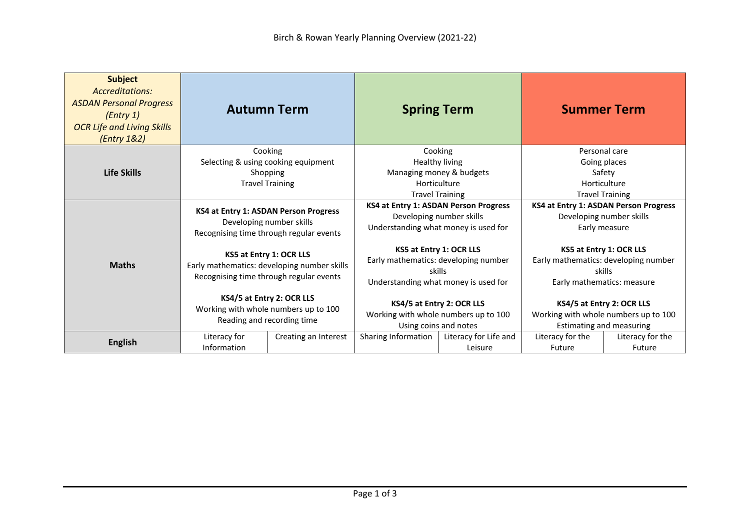| <b>Subject</b><br>Accreditations:<br><b>ASDAN Personal Progress</b><br>(Entry 1)<br><b>OCR Life and Living Skills</b><br>(Entry 1&2) |                                                                                                                   | <b>Autumn Term</b>                                                                              | <b>Spring Term</b>                                                                                                |                                                                                               |                                                                                   | <b>Summer Term</b>                                                                                      |
|--------------------------------------------------------------------------------------------------------------------------------------|-------------------------------------------------------------------------------------------------------------------|-------------------------------------------------------------------------------------------------|-------------------------------------------------------------------------------------------------------------------|-----------------------------------------------------------------------------------------------|-----------------------------------------------------------------------------------|---------------------------------------------------------------------------------------------------------|
| Life Skills                                                                                                                          |                                                                                                                   | Cooking<br>Selecting & using cooking equipment<br>Shopping<br><b>Travel Training</b>            | Cooking<br>Healthy living<br>Managing money & budgets<br>Horticulture<br><b>Travel Training</b>                   |                                                                                               | Personal care<br>Going places<br>Safety<br>Horticulture<br><b>Travel Training</b> |                                                                                                         |
|                                                                                                                                      | KS4 at Entry 1: ASDAN Person Progress<br>Developing number skills<br>Recognising time through regular events      |                                                                                                 | KS4 at Entry 1: ASDAN Person Progress<br>Developing number skills<br>Understanding what money is used for         |                                                                                               |                                                                                   | KS4 at Entry 1: ASDAN Person Progress<br>Developing number skills<br>Early measure                      |
| <b>Maths</b>                                                                                                                         | KS5 at Entry 1: OCR LLS<br>Early mathematics: developing number skills<br>Recognising time through regular events |                                                                                                 | KS5 at Entry 1: OCR LLS<br>Early mathematics: developing number<br>skills<br>Understanding what money is used for |                                                                                               |                                                                                   | KS5 at Entry 1: OCR LLS<br>Early mathematics: developing number<br>skills<br>Early mathematics: measure |
|                                                                                                                                      |                                                                                                                   | KS4/5 at Entry 2: OCR LLS<br>Working with whole numbers up to 100<br>Reading and recording time | KS4/5 at Entry 2: OCR LLS<br>Working with whole numbers up to 100<br>Using coins and notes                        | KS4/5 at Entry 2: OCR LLS<br>Working with whole numbers up to 100<br>Estimating and measuring |                                                                                   |                                                                                                         |
| <b>English</b>                                                                                                                       | Literacy for<br>Information                                                                                       | Creating an Interest                                                                            | Sharing Information                                                                                               | Literacy for Life and<br>Leisure                                                              | Literacy for the<br><b>Future</b>                                                 | Literacy for the<br>Future                                                                              |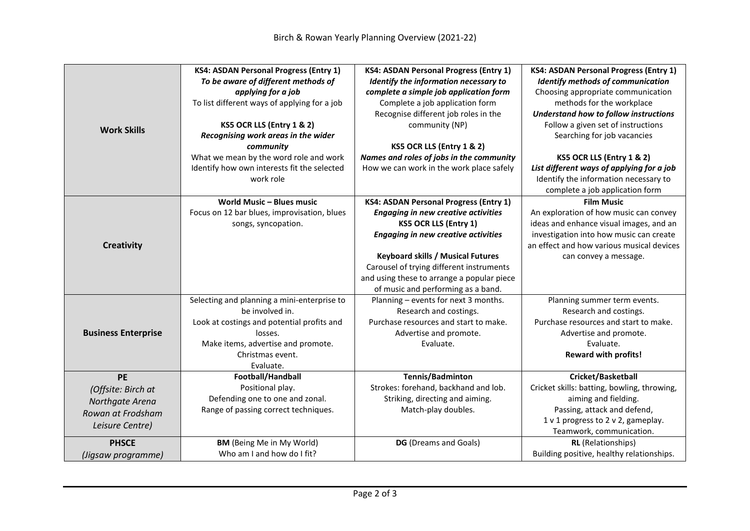| <b>Work Skills</b>                                                                         | <b>KS4: ASDAN Personal Progress (Entry 1)</b><br>To be aware of different methods of<br>applying for a job<br>To list different ways of applying for a job<br>KS5 OCR LLS (Entry 1 & 2)<br>Recognising work areas in the wider<br>community | <b>KS4: ASDAN Personal Progress (Entry 1)</b><br>Identify the information necessary to<br>complete a simple job application form<br>Complete a job application form<br>Recognise different job roles in the<br>community (NP)<br>KS5 OCR LLS (Entry 1 & 2)                                                                                            | <b>KS4: ASDAN Personal Progress (Entry 1)</b><br><b>Identify methods of communication</b><br>Choosing appropriate communication<br>methods for the workplace<br>Understand how to follow instructions<br>Follow a given set of instructions<br>Searching for job vacancies |
|--------------------------------------------------------------------------------------------|---------------------------------------------------------------------------------------------------------------------------------------------------------------------------------------------------------------------------------------------|-------------------------------------------------------------------------------------------------------------------------------------------------------------------------------------------------------------------------------------------------------------------------------------------------------------------------------------------------------|----------------------------------------------------------------------------------------------------------------------------------------------------------------------------------------------------------------------------------------------------------------------------|
|                                                                                            | What we mean by the word role and work<br>Identify how own interests fit the selected<br>work role                                                                                                                                          | Names and roles of jobs in the community<br>How we can work in the work place safely                                                                                                                                                                                                                                                                  | KS5 OCR LLS (Entry 1 & 2)<br>List different ways of applying for a job<br>Identify the information necessary to<br>complete a job application form                                                                                                                         |
| <b>Creativity</b>                                                                          | <b>World Music - Blues music</b><br>Focus on 12 bar blues, improvisation, blues<br>songs, syncopation.                                                                                                                                      | <b>KS4: ASDAN Personal Progress (Entry 1)</b><br><b>Engaging in new creative activities</b><br><b>KS5 OCR LLS (Entry 1)</b><br><b>Engaging in new creative activities</b><br><b>Keyboard skills / Musical Futures</b><br>Carousel of trying different instruments<br>and using these to arrange a popular piece<br>of music and performing as a band. | <b>Film Music</b><br>An exploration of how music can convey<br>ideas and enhance visual images, and an<br>investigation into how music can create<br>an effect and how various musical devices<br>can convey a message.                                                    |
| <b>Business Enterprise</b>                                                                 | Selecting and planning a mini-enterprise to<br>be involved in.<br>Look at costings and potential profits and<br>losses.<br>Make items, advertise and promote.<br>Christmas event.<br>Evaluate.                                              | Planning - events for next 3 months.<br>Research and costings.<br>Purchase resources and start to make.<br>Advertise and promote.<br>Evaluate.                                                                                                                                                                                                        | Planning summer term events.<br>Research and costings.<br>Purchase resources and start to make.<br>Advertise and promote.<br>Evaluate.<br><b>Reward with profits!</b>                                                                                                      |
| <b>PE</b><br>(Offsite: Birch at<br>Northgate Arena<br>Rowan at Frodsham<br>Leisure Centre) | Football/Handball<br>Positional play.<br>Defending one to one and zonal.<br>Range of passing correct techniques.                                                                                                                            | Tennis/Badminton<br>Strokes: forehand, backhand and lob.<br>Striking, directing and aiming.<br>Match-play doubles.                                                                                                                                                                                                                                    | Cricket/Basketball<br>Cricket skills: batting, bowling, throwing,<br>aiming and fielding.<br>Passing, attack and defend,<br>1 v 1 progress to 2 v 2, gameplay.<br>Teamwork, communication.                                                                                 |
| <b>PHSCE</b><br>(Jigsaw programme)                                                         | <b>BM</b> (Being Me in My World)<br>Who am I and how do I fit?                                                                                                                                                                              | DG (Dreams and Goals)                                                                                                                                                                                                                                                                                                                                 | <b>RL</b> (Relationships)<br>Building positive, healthy relationships.                                                                                                                                                                                                     |